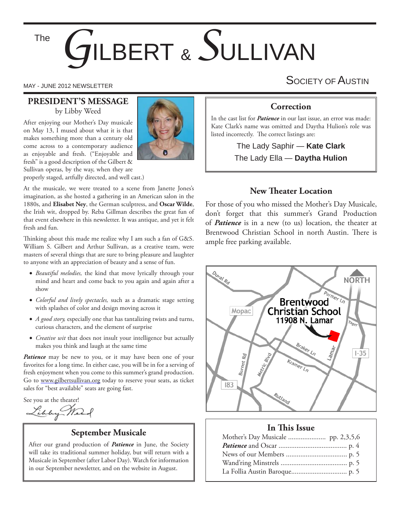# *G*ILBERT & *S*ULLIVAN The

#### **PRESIDENT'S MESSAGE** by Libby Weed

After enjoying our Mother's Day musicale on May 13, I mused about what it is that makes something more than a century old come across to a contemporary audience as enjoyable and fresh. ("Enjoyable and fresh" is a good description of the Gilbert & Sullivan operas, by the way, when they are properly staged, artfully directed, and well cast.)



At the musicale, we were treated to a scene from Janette Jones's imagination, as she hosted a gathering in an American salon in the 1880s, and **Elisabet Ney**, the German sculptress, and **Oscar Wilde**, the Irish wit, dropped by. Reba Gillman describes the great fun of that event elsewhere in this newsletter. It was antique, and yet it felt fresh and fun.

Thinking about this made me realize why I am such a fan of G&S. William S. Gilbert and Arthur Sullivan, as a creative team, were masters of several things that are sure to bring pleasure and laughter to anyone with an appreciation of beauty and a sense of fun.

- *Beautiful melodies,* the kind that move lyrically through your mind and heart and come back to you again and again after a show
- *Colorful and lively spectacles,* such as a dramatic stage setting with splashes of color and design moving across it
- *A good story,* especially one that has tantalizing twists and turns, curious characters, and the element of surprise
- *Creative wit* that does not insult your intelligence but actually makes you think and laugh at the same time

Patience may be new to you, or it may have been one of your favorites for a long time. In either case, you will be in for a serving of fresh enjoyment when you come to this summer's grand production. Go to www.gilbertsullivan.org today to reserve your seats, as ticket sales for "best available" seats are going fast.

See you at the theater!

Libby Mart

## **September Musicale**

After our grand production of *Patience* in June, the Society will take its traditional summer holiday, but will return with a Musicale in September (after Labor Day). Watch for information in our September newsletter, and on the website in August.

MAY - JUNE 2012 NEWSLETTER SOCIETY OF  $\mathsf A$ USTIN

## **Correction**

In the cast list for *Patience* in our last issue, an error was made: Kate Clark's name was omitted and Daytha Hulion's role was listed incorrectly. The correct listings are:

> The Lady Saphir — **Kate Clark** The Lady Ella — **Daytha Hulion**

### **New Theater Location**

For those of you who missed the Mother's Day Musicale, don't forget that this summer's Grand Production of *Patience* is in a new (to us) location, the theater at Brentwood Christian School in north Austin. There is ample free parking available.



#### **In This Issue**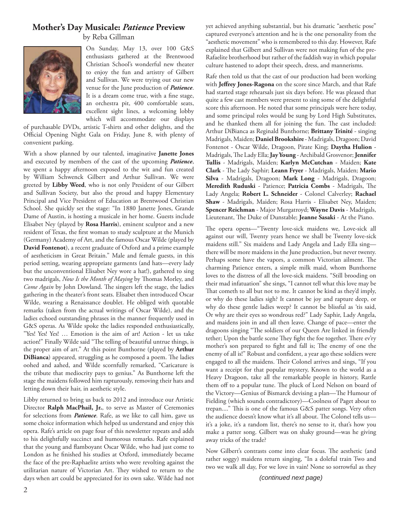### **Mother's Day Musicale:** *Patience* **Preview**



by Reba Gillman

On Sunday, May 13, over 100 G&S enthusiasts gathered at the Brentwood Christian School's wonderful new theater to enjoy the fun and artistry of Gilbert and Sullivan. We were trying out our new venue for the June production of *Patience*. It is a dream come true, with a fine stage, an orchestra pit, 400 comfortable seats, excellent sight lines, a welcoming lobby which will accommodate our displays

of purchasable DVDs, artistic T-shirts and other delights, and the Official Opening Night Gala on Friday, June 8, with plenty of convenient parking.

With a show planned by our talented, imaginative **Janette Jones** and executed by members of the cast of the upcoming *Patience*, we spent a happy afternoon exposed to the wit and fun created by William Schwenck Gilbert and Arthur Sullivan. We were greeted by **Libby Weed**, who is not only President of our Gilbert and Sullivan Society, but also the proud and happy Elementary Principal and Vice President of Education at Brentwood Christian School. She quickly set the stage: "In 1880 Janette Jones, Grande Dame of Austin, is hosting a musicale in her home. Guests include Elisabet Ney (played by **Rosa Harris**), eminent sculptor and a new resident of Texas, the first woman to study sculpture at the Munich (Germany) Academy of Art, and the famous Oscar Wilde (played by **David Fontenot**), a recent graduate of Oxford and a prime example of aestheticism in Great Britain." Male and female guests, in this period setting, wearing appropriate garments (and hats—every lady but the unconventional Elisabet Ney wore a hat!), gathered to sing two madrigals, *Now Is the Month of Maying* by Thomas Morley, and *Come Again* by John Dowland. The singers left the stage, the ladies gathering in the theater's front seats. Elisabet then introduced Oscar Wilde, wearing a Renaissance doublet. He obliged with quotable remarks (taken from the actual writings of Oscar Wilde), and the ladies echoed outstanding phrases in the manner frequently used in G&S operas. As Wilde spoke the ladies responded enthusiastically, "Yes! Yes! Yes! … Emotion is the aim of art! Action - let us take action!" Finally Wilde said "The telling of beautiful untrue things, is the proper aim of art." At this point Bunthorne (played by **Arthur DiBianca**) appeared, struggling as he composed a poem. The ladies oohed and aahed, and Wilde scornfully remarked, "Caricature is the tribute that mediocrity pays to genius." As Bunthorne left the stage the maidens followed him rapturously, removing their hats and letting down their hair, in aesthetic style.

Libby returned to bring us back to 2012 and introduce our Artistic Director **Ralph MacPhail, Jr.**, to serve as Master of Ceremonies for selections from *Patience*. Rafe, as we like to call him, gave us some choice information which helped us understand and enjoy this opera. Rafe's article on page four of this newsletter repeats and adds to his delightfully succinct and humorous remarks. Rafe explained that the young and flamboyant Oscar Wilde, who had just come to London as he finished his studies at Oxford, immediately became the face of the pre-Raphaelite artists who were revolting against the utilitarian nature of Victorian Art. They wished to return to the days when art could be appreciated for its own sake. Wilde had not

yet achieved anything substantial, but his dramatic "aesthetic pose" captured everyone's attention and he is the one personality from the "aesthetic movement" who is remembered to this day. However, Rafe explained that Gilbert and Sullivan were not making fun of the pre-Rafaelite brotherhood but rather of the faddish way in which popular culture hastened to adopt their speech, dress, and mannerisms.

Rafe then told us that the cast of our production had been working with Jeffrey Jones-Ragona on the score since March, and that Rafe had started stage rehearsals just six days before. He was pleased that quite a few cast members were present to sing some of the delightful score this afternoon. He noted that some principals were here today, and some principal roles would be sung by Lord High Substitutes, and he thanked them all for joining the fun. The cast included: Arthur DiBianca as Reginald Bunthorne; **Brittany Trinité** - singing Madrigals, Maiden; **Daniel Brookshire** - Madrigals, Dragoon; David Fontenot - Oscar Wilde, Dragoon, Pirate King; **Daytha Hulion** - Madrigals, The Lady Ella; Jay Young - Archibald Grosvenor; Jennifer **Tullis** - Madrigals, Maiden; **Karlyn McCutchan** - Maiden; **Kate**  Clark - The Lady Saphir; Leann Fryer - Madrigals, Maiden; Mario **Silva** - Madrigals, Dragoon; **Mark Long** - Madrigals, Dragoon; Meredith Ruduski - Patience; Patricia Combs - Madrigals, The Lady Angela; **Robert L. Schneider** - Colonel Calverley; **Rachael Shaw** - Madrigals, Maiden; Rosa Harris - Elisabet Ney, Maiden; **Spencer Reichman** - Major Murgatroyd; **Wayne Davis** - Madrigals, Lieutenant, The Duke of Dunstable; Jeanne Sasaki - At the Piano.

The opera opens—"Twenty love-sick maidens we, Love-sick all against our will, Twenty years hence we shall be Twenty love-sick maidens still." Six maidens and Lady Angela and Lady Ella sing there will be more maidens in the June production, but never twenty. Perhaps some have the vapors, a common Victorian ailment. The charming Patience enters, a simple milk maid, whom Bunthorne loves to the distress of all the love-sick maidens. "Still brooding on their mad infatuation" she sings, "I cannot tell what this love may be That cometh to all but not to me. It cannot be kind as they'd imply, or why do these ladies sigh? It cannot be joy and rapture deep, or why do these gentle ladies weep? It cannot be blissful as 'tis said, Or why are their eyes so wondrous red?" Lady Saphir, Lady Angela, and maidens join in and all then leave. Change of pace—enter the dragoons singing "The soldiers of our Queen Are linked in friendly tether; Upon the battle scene They fight the foe together. There ev'ry mother's son prepared to fight and fall is; The enemy of one the enemy of all is!" Robust and confident, a year ago these soldiers were engaged to all the maidens. Their Colonel arrives and sings, "If you want a receipt for that popular mystery, Known to the world as a Heavy Dragoon, take all the remarkable people in history, Rattle them off to a popular tune. The pluck of Lord Nelson on board of the Victory-Genius of Bismarck devising a plan-The Humour of Fielding (which sounds contradictory)—Coolness of Paget about to trepan...." This is one of the famous G&S patter songs. Very often the audience doesn't know what it's all about. The Colonel tells usit's a joke, it's a random list, there's no sense to it, that's how you make a patter song. Gilbert was on shaky ground—was he giving away tricks of the trade?

Now Gilbert's contrasts come into clear focus. The aesthetic (and rather soggy) maidens return singing, "In a doleful train Two and two we walk all day, For we love in vain! None so sorrowful as they

*(continued next page)*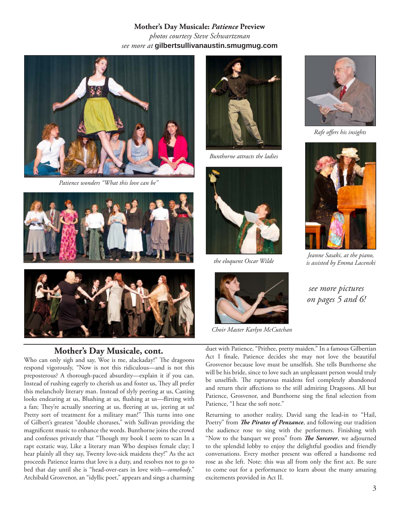**Mother's Day Musicale:** *Patience* **Preview** *photos courtesy Steve Schwartzman see more at* **gilbertsullivanaustin.smugmug.com**



*Patience wonders "What this love can be"*





#### **Mother's Day Musicale, cont.**

Who can only sigh and say, Woe is me, alackaday!" The dragoons respond vigorously, "Now is not this ridiculous—and is not this preposterous? A thorough-paced absurdity—explain it if you can. Instead of rushing eagerly to cherish us and foster us, They all prefer this melancholy literary man. Instead of slyly peering at us, Casting looks endearing at us, Blushing at us, flushing at us—flirting with a fan; They're actually sneering at us, fleering at us, jeering at us! Pretty sort of treatment for a military man!" This turns into one of Gilbert's greatest "double choruses," with Sullivan providing the magnificent music to enhance the words. Bunthorne joins the crowd and confesses privately that "Though my book I seem to scan In a rapt ecstatic way, Like a literary man Who despises female clay; I hear plainly all they say, Twenty love-sick maidens they!" As the act proceeds Patience learns that love is a duty, and resolves not to go to bed that day until she is "head-over-ears in love with—*somebody*." Archibald Grosvenor, an "idyllic poet," appears and sings a charming



*Bunthorne attracts the ladies*



*the eloquent Oscar Wilde*



*Choir Master Karlyn McCutchan*



*Rafe off ers his insights*



*Jeanne Sasaki, at the piano, is assisted by Emma Lacenski*

*see more pictures on pages 5 and 6!*

duet with Patience, "Prithee, pretty maiden." In a famous Gilbertian Act I finale, Patience decides she may not love the beautiful Grosvenor because love must be unselfish. She tells Bunthorne she will be his bride, since to love such an unpleasant person would truly be unselfish. The rapturous maidens feel completely abandoned and return their affections to the still admiring Dragoons. All but Patience, Grosvenor, and Bunthorne sing the final selection from Patience, "I hear the soft note."

Returning to another reality, David sang the lead-in to "Hail, Poetry" from *The Pirates of Penzance*, and following our tradition the audience rose to sing with the performers. Finishing with "Now to the banquet we press" from *The Sorcerer*, we adjourned to the splendid lobby to enjoy the delightful goodies and friendly conversations. Every mother present was offered a handsome red rose as she left. Note: this was all from only the first act. Be sure to come out for a performance to learn about the many amazing excitements provided in Act II.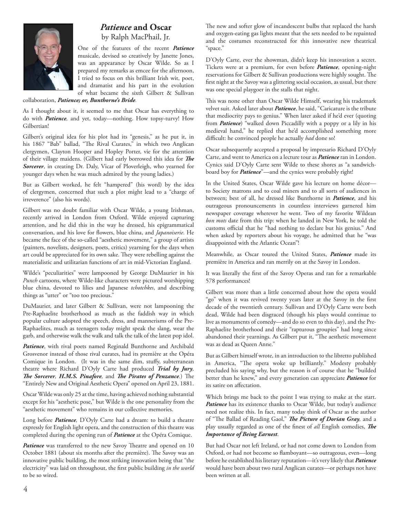

# *Patience* **and Oscar** by Ralph MacPhail, Jr.

One of the features of the recent *Patience* musicale, devised so creatively by Janette Jones, was an appearance by Oscar Wilde. So as I prepared my remarks as emcee for the afternoon, I tried to focus on this brilliant Irish wit, poet, and dramatist and his part in the evolution of what became the sixth Gilbert & Sullivan

collaboration, *Patience; or, Bunthorne's Bride.*

As I thought about it, it seemed to me that Oscar has everything to do with *Patience,* and yet, today—nothing. How topsy-turvy! How Gilbertian!

Gilbert's original idea for his plot had its "genesis," as he put it, in his 1867 "Bab" ballad, "The Rival Curates," in which two Anglican clergymen, Clayton Hooper and Hopley Porter, vie for the attention of their village maidens. (Gilbert had early borrowed this idea for The *Sorcerer*, in creating Dr. Daly, Vicar of Ploverleigh, who yearned for younger days when he was much admired by the young ladies.)

But as Gilbert worked, he felt "hampered" (his word) by the idea of clergymen, concerned that such a plot might lead to a "charge of irreverence" (also his words).

Gilbert was no doubt familiar with Oscar Wilde, a young Irishman, recently arrived in London from Oxford. Wilde enjoyed capturing attention, and he did this in the way he dressed, his epigrammatical conversation, and his love for flowers, blue china, and *Japanoiserie*. He became the face of the so-called "aesthetic movement," a group of artists (painters, novelists, designers, poets, critics) yearning for the days when art could be appreciated for its own sake. They were rebelling against the materialistic and utilitarian functions of art in mid-Victorian England.

Wilde's "peculiarities" were lampooned by George DuMaurier in his *Punch* cartoons, where Wilde-like characters were pictured worshipping blue china, devoted to lilies and Japanese *tchotchkes*, and describing things as "utter" or "too too precious."

DuMaurier, and later Gilbert & Sullivan, were not lampooning the Pre-Raphaelite brotherhood as much as the faddish way in which popular culture adopted the speech, dress, and mannerisms of the Pre-Raphaelites, much as teenagers today might speak the slang, wear the garb, and otherwise walk the walk and talk the talk of the latest pop idol.

*Patience*, with rival poets named Reginald Bunthorne and Archibald Grosvenor instead of those rival curates, had its première at the Opéra Comique in London. (It was in the same dim, stuffy, subterranean theatre where Richard D'Oyly Carte had produced *Trial by Jury, The Sorcerer, H.M.S. Pinafore, and The Pirates of Penzance.*) The "Entirely New and Original Aesthetic Opera" opened on April 23, 1881.

Oscar Wilde was only 25 at the time, having achieved nothing substantial except for his "aesthetic pose," but Wilde is the one personality from the "aesthetic movement" who remains in our collective memories.

Long before *Patience,* D'Oyly Carte had a dream: to build a theatre expressly for English light opera, and the construction of this theatre was completed during the opening run of *Patience* at the Opéra Comique.

Patience was transferred to the new Savoy Theatre and opened on 10 October 1881 (about six months after the première). The Savoy was an innovative public building, the most striking innovation being that "the electricity" was laid on throughout, the first public building in the world to be so wired.

The new and softer glow of incandescent bulbs that replaced the harsh and oxygen-eating gas lights meant that the sets needed to be repainted and the costumes reconstructed for this innovative new theatrical "space."

D'Oyly Carte, ever the showman, didn't keep his innovation a secret. Tickets were at a premium, for even before *Patience*, opening-night reservations for Gilbert & Sullivan productions were highly sought. The first night at the Savoy was a glittering social occasion, as usual, but there was one special playgoer in the stalls that night.

This was none other than Oscar Wilde Himself, wearing his trademark velvet suit. Asked later about *Patience*, he said, "Caricature is the tribute that mediocrity pays to genius." When later asked if he'd ever (quoting from *Patience*) "walked down Piccadilly with a poppy or a lily in his medieval hand," he replied that he'd accomplished something more difficult: he convinced people he actually *had* done so!

Oscar subsequently accepted a proposal by impresario Richard D'Oyly Carte, and went to America on a lecture tour as *Patience* ran in London. Cynics said D'Oyly Carte sent Wilde to these shores as "a sandwichboard boy for *Patience*"—and the cynics were probably right!

In the United States, Oscar Wilde gave his lecture on home décor to Society matrons and to coal miners and to all sorts of audiences in between; best of all, he dressed like Bunthorne in *Patience*, and his outrageous pronouncements in countless interviews garnered him newspaper coverage wherever he went. Two of my favorite Wildean *bon mots* date from this trip: when he landed in New York, he told the customs official that he "had nothing to declare but his genius." And when asked by reporters about his voyage, he admitted that he "was disappointed with the Atlantic Ocean"!

Meanwhile, as Oscar toured the United States, *Patience* made its première in America and ran merrily on at the Savoy in London.

It was literally the first of the Savoy Operas and ran for a remarkable 578 performances!

Gilbert was more than a little concerned about how the opera would "go" when it was revived twenty years later at the Savoy in the first decade of the twentieth century. Sullivan and D'Oyly Carte were both dead, Wilde had been disgraced (though his plays would continue to live as monuments of comedy—and do so even to this day), and the Pre-Raphaelite brotherhood and their "rapturous groupies" had long since abandoned their yearnings. As Gilbert put it, "The aesthetic movement was as dead as Queen Anne."

But as Gilbert himself wrote, in an introduction to the libretto published in America, "The opera woke up brilliantly." Modesty probably precluded his saying why, but the reason is of course that he "builded better than he knew," and every generation can appreciate *Patience* for its satire on affectation.

Which brings me back to the point I was trying to make at the start. Patience has its existence thanks to Oscar Wilde, but today's audience need not realize this. In fact, many today think of Oscar as the author of "The Ballad of Reading Gaol," The Picture of Dorian Gray, and a play usually regarded as one of the finest of *all* English comedies, *The Importance of Being Earnest*.

But had Oscar not left Ireland, or had not come down to London from Oxford, or had not become so flamboyant—so outrageous, even—long before he established his literary reputation—it's very likely that *Patience* would have been about two rural Anglican curates—or perhaps not have been written at all.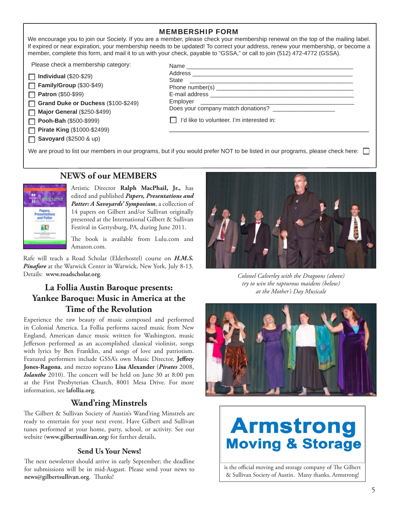| <b>MEMBERSHIP FORM</b> |  |
|------------------------|--|
|------------------------|--|

We encourage you to join our Society. If you are a member, please check your membership renewal on the top of the mailing label. If expired or near expiration, your membership needs to be updated! To correct your address, renew your membership, or become a member, complete this form, and mail it to us with your check, payable to "GSSA," or call to join (512) 472-4772 (GSSA).

Please check a membership category:

| $\Box$ Individual (\$20-\$29) |
|-------------------------------|
| Family/Group (\$30-\$49)      |
| <b>Patron</b> (\$50-\$99)     |

**Grand Duke or Duchess** (\$100-\$249)

**Major General** (\$250-\$499)

**Pooh-Bah** (\$500-\$999) П

**Pirate King** (\$1000-\$2499)

| State<br><u> 1980 - Jan James Sammer, margaret eta idazlear (h. 1980).</u> |  |
|----------------------------------------------------------------------------|--|
|                                                                            |  |
|                                                                            |  |
|                                                                            |  |
| Does your company match donations?                                         |  |
| □ I'd like to volunteer. I'm interested in:                                |  |
|                                                                            |  |

We are proud to list our members in our programs, but if you would prefer NOT to be listed in our programs, please check here:

# **NEWS of our MEMBERS**



Artistic Director **Ralph MacPhail, Jr.,** has edited and published *Papers, Presentations and Patter: A Savoyards' Symposium*, a collection of 14 papers on Gilbert and/or Sullivan originally presented at the International Gilbert & Sullivan Festival in Gettysburg, PA, during June 2011.

The book is available from Lulu.com and Amazon.com.

Rafe will teach a Road Scholar (Elderhostel) course on *H.M.S. Pinafore* at the Warwick Center in Warwick, New York, July 8-13. Details: **www.roadscholar.org**.

# **La Follia Austin Baroque presents: Yankee Baroque: Music in America at the Time of the Revolution**

Experience the raw beauty of music composed and performed in Colonial America. La Follia performs sacred music from New England, American dance music written for Washington, music Jefferson performed as an accomplished classical violinist, songs with lyrics by Ben Franklin, and songs of love and patriotism. Featured performers include GSSA's own Music Director, Jeffrey **Jones-Ragona**, and mezzo soprano **Lisa Alexander** (*Pirates* 2008, *Iolanthe* 2010). The concert will be held on June 30 at 8:00 pm at the First Presbyterian Church, 8001 Mesa Drive. For more information, see **lafollia.org**.

## **Wand'ring Minstrels**

The Gilbert & Sullivan Society of Austin's Wand'ring Minstrels are ready to entertain for your next event. Have Gilbert and Sullivan tunes performed at your home, party, school, or activity. See our website (**www.gilbertsullivan.org**) for further details.

#### **Send Us Your News!**

The next newsletter should arrive in early September; the deadline for submissions will be in mid-August. Please send your news to news@gilbertsullivan.org. Thanks!



*Colonel Calverley with the Dragoons (above) try to win the rapturous maidens (below) at the Mother's Day Musicale*



# **Armstrong Moving & Storage**

is the official moving and storage company of The Gilbert & Sullivan Society of Austin. Many thanks, Armstrong!